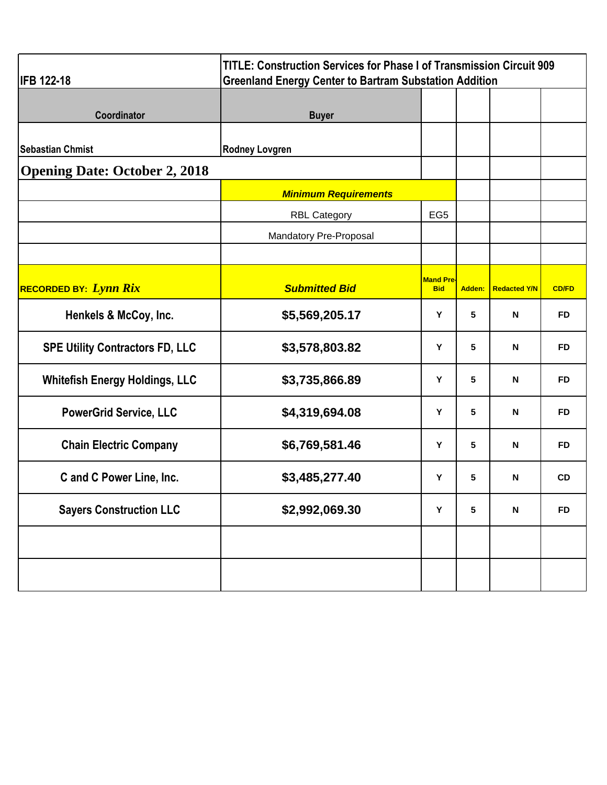| <b>IFB 122-18</b>                      | <b>TITLE: Construction Services for Phase I of Transmission Circuit 909</b><br><b>Greenland Energy Center to Bartram Substation Addition</b> |                                     |                 |                           |              |
|----------------------------------------|----------------------------------------------------------------------------------------------------------------------------------------------|-------------------------------------|-----------------|---------------------------|--------------|
| Coordinator                            | <b>Buyer</b>                                                                                                                                 |                                     |                 |                           |              |
| <b>Sebastian Chmist</b>                | <b>Rodney Lovgren</b>                                                                                                                        |                                     |                 |                           |              |
| <b>Opening Date: October 2, 2018</b>   |                                                                                                                                              |                                     |                 |                           |              |
|                                        | <b>Minimum Requirements</b>                                                                                                                  |                                     |                 |                           |              |
|                                        | <b>RBL Category</b>                                                                                                                          | EG <sub>5</sub>                     |                 |                           |              |
|                                        | Mandatory Pre-Proposal                                                                                                                       |                                     |                 |                           |              |
|                                        |                                                                                                                                              |                                     |                 |                           |              |
| <b>RECORDED BY:</b> Lynn Rix           | <b>Submitted Bid</b>                                                                                                                         | Mand Pre <sub>'</sub><br><b>Bid</b> | Adden:          | <b>Redacted Y/N</b>       | <b>CD/FD</b> |
| Henkels & McCoy, Inc.                  | \$5,569,205.17                                                                                                                               | Y                                   | 5               | $\mathsf{N}$              | <b>FD</b>    |
| <b>SPE Utility Contractors FD, LLC</b> | \$3,578,803.82                                                                                                                               | Y                                   | 5               | N                         | <b>FD</b>    |
| <b>Whitefish Energy Holdings, LLC</b>  | \$3,735,866.89                                                                                                                               | Υ                                   | 5               | N                         | <b>FD</b>    |
| <b>PowerGrid Service, LLC</b>          | \$4,319,694.08                                                                                                                               | Y                                   | 5               | N                         | <b>FD</b>    |
| <b>Chain Electric Company</b>          | \$6,769,581.46                                                                                                                               | Υ                                   | 5               | N                         | <b>FD</b>    |
| C and C Power Line, Inc.               | \$3,485,277.40                                                                                                                               | Υ                                   | 5               | N                         | <b>CD</b>    |
| <b>Sayers Construction LLC</b>         | \$2,992,069.30                                                                                                                               | Υ                                   | $5\phantom{.0}$ | $\boldsymbol{\mathsf{N}}$ | <b>FD</b>    |
|                                        |                                                                                                                                              |                                     |                 |                           |              |
|                                        |                                                                                                                                              |                                     |                 |                           |              |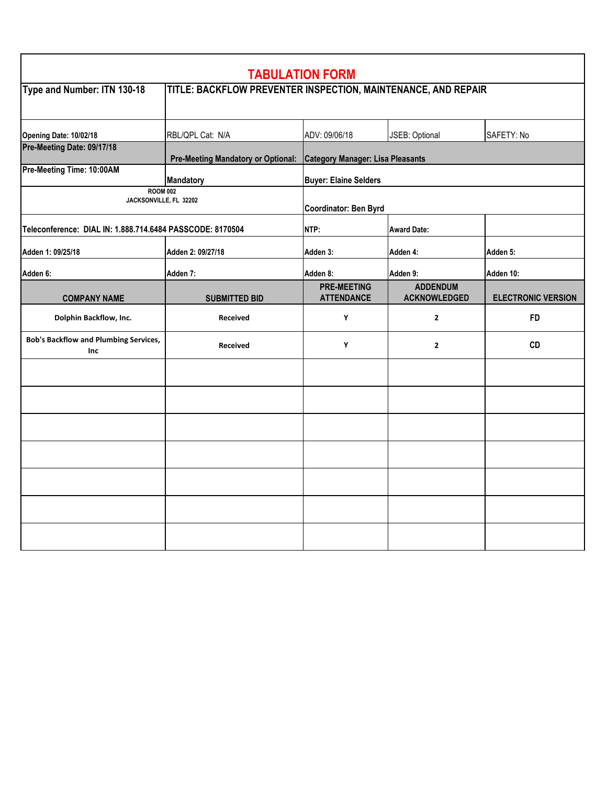|                                                           |                                                               | <b>TABULATION FORM</b>                  |                                        |                           |  |
|-----------------------------------------------------------|---------------------------------------------------------------|-----------------------------------------|----------------------------------------|---------------------------|--|
| Type and Number: ITN 130-18                               | TITLE: BACKFLOW PREVENTER INSPECTION, MAINTENANCE, AND REPAIR |                                         |                                        |                           |  |
| Opening Date: 10/02/18                                    | RBL/QPL Cat: N/A                                              | ADV: 09/06/18                           | JSEB: Optional                         | SAFETY: No                |  |
| Pre-Meeting Date: 09/17/18                                | <b>Pre-Meeting Mandatory or Optional:</b>                     | <b>Category Manager: Lisa Pleasants</b> |                                        |                           |  |
| Pre-Meeting Time: 10:00AM                                 | <b>Mandatory</b>                                              | <b>Buyer: Elaine Selders</b>            |                                        |                           |  |
| <b>ROOM 002</b><br>JACKSONVILLE, FL 32202                 |                                                               | Coordinator: Ben Byrd                   |                                        |                           |  |
| Teleconference: DIAL IN: 1.888.714.6484 PASSCODE: 8170504 |                                                               | NTP:                                    | <b>Award Date:</b>                     |                           |  |
| Adden 1: 09/25/18                                         | Adden 2: 09/27/18                                             | Adden 3:                                | Adden 4:                               | Adden 5:                  |  |
| Adden 6:                                                  | Adden 7:                                                      | Adden 8:                                | Adden 9:                               | Adden 10:                 |  |
| <b>COMPANY NAME</b>                                       | <b>SUBMITTED BID</b>                                          | <b>PRE-MEETING</b><br><b>ATTENDANCE</b> | <b>ADDENDUM</b><br><b>ACKNOWLEDGED</b> | <b>ELECTRONIC VERSION</b> |  |
| Dolphin Backflow, Inc.                                    | <b>Received</b>                                               | Υ                                       | $\overline{2}$                         | <b>FD</b>                 |  |
| <b>Bob's Backflow and Plumbing Services,</b><br>Inc       | <b>Received</b>                                               | Υ                                       | $\overline{2}$                         | <b>CD</b>                 |  |
|                                                           |                                                               |                                         |                                        |                           |  |
|                                                           |                                                               |                                         |                                        |                           |  |
|                                                           |                                                               |                                         |                                        |                           |  |
|                                                           |                                                               |                                         |                                        |                           |  |
|                                                           |                                                               |                                         |                                        |                           |  |
|                                                           |                                                               |                                         |                                        |                           |  |
|                                                           |                                                               |                                         |                                        |                           |  |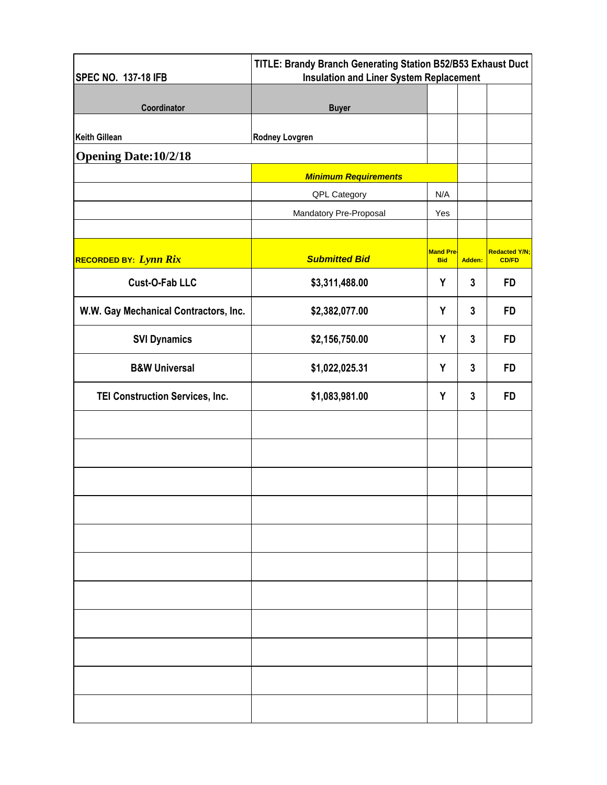| <b>SPEC NO. 137-18 IFB</b>            | TITLE: Brandy Branch Generating Station B52/B53 Exhaust Duct<br><b>Insulation and Liner System Replacement</b> |                                |        |                                      |
|---------------------------------------|----------------------------------------------------------------------------------------------------------------|--------------------------------|--------|--------------------------------------|
| Coordinator                           | <b>Buyer</b>                                                                                                   |                                |        |                                      |
| <b>Keith Gillean</b>                  | <b>Rodney Lovgren</b>                                                                                          |                                |        |                                      |
| <b>Opening Date: 10/2/18</b>          |                                                                                                                |                                |        |                                      |
|                                       | <b>Minimum Requirements</b>                                                                                    |                                |        |                                      |
|                                       | QPL Category                                                                                                   | N/A                            |        |                                      |
|                                       | Mandatory Pre-Proposal                                                                                         | Yes                            |        |                                      |
|                                       |                                                                                                                |                                |        |                                      |
| RECORDED BY: Lynn Rix                 | <b>Submitted Bid</b>                                                                                           | <b>Mand Pre-</b><br><b>Bid</b> | Adden: | <b>Redacted Y/N;</b><br><b>CD/FD</b> |
| <b>Cust-O-Fab LLC</b>                 | \$3,311,488.00                                                                                                 | Y                              | 3      | <b>FD</b>                            |
| W.W. Gay Mechanical Contractors, Inc. | \$2,382,077.00                                                                                                 | Y                              | 3      | <b>FD</b>                            |
| <b>SVI Dynamics</b>                   | \$2,156,750.00                                                                                                 | Y                              | 3      | <b>FD</b>                            |
| <b>B&amp;W Universal</b>              | \$1,022,025.31                                                                                                 | Y                              | 3      | <b>FD</b>                            |
| TEI Construction Services, Inc.       | \$1,083,981.00                                                                                                 | Y                              | 3      | <b>FD</b>                            |
|                                       |                                                                                                                |                                |        |                                      |
|                                       |                                                                                                                |                                |        |                                      |
|                                       |                                                                                                                |                                |        |                                      |
|                                       |                                                                                                                |                                |        |                                      |
|                                       |                                                                                                                |                                |        |                                      |
|                                       |                                                                                                                |                                |        |                                      |
|                                       |                                                                                                                |                                |        |                                      |
|                                       |                                                                                                                |                                |        |                                      |
|                                       |                                                                                                                |                                |        |                                      |
|                                       |                                                                                                                |                                |        |                                      |
|                                       |                                                                                                                |                                |        |                                      |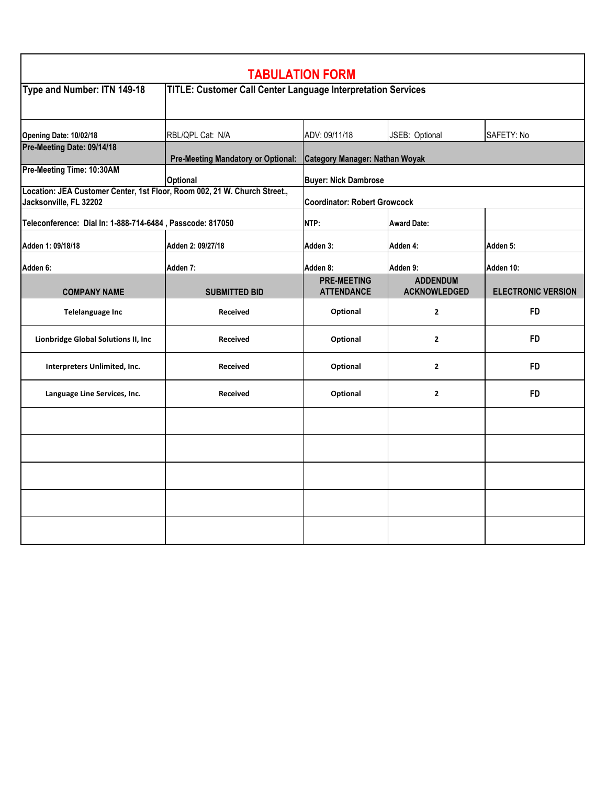| <b>TABULATION FORM</b>                                                                              |                                                                     |                                               |                                        |                           |  |
|-----------------------------------------------------------------------------------------------------|---------------------------------------------------------------------|-----------------------------------------------|----------------------------------------|---------------------------|--|
| Type and Number: ITN 149-18                                                                         | <b>TITLE: Customer Call Center Language Interpretation Services</b> |                                               |                                        |                           |  |
| Opening Date: 10/02/18                                                                              | RBL/QPL Cat: N/A                                                    | ADV: 09/11/18<br>JSEB: Optional<br>SAFETY: No |                                        |                           |  |
| Pre-Meeting Date: 09/14/18                                                                          | <b>Pre-Meeting Mandatory or Optional:</b>                           | Category Manager: Nathan Woyak                |                                        |                           |  |
| Pre-Meeting Time: 10:30AM                                                                           | <b>Optional</b>                                                     | <b>Buyer: Nick Dambrose</b>                   |                                        |                           |  |
| Location: JEA Customer Center, 1st Floor, Room 002, 21 W. Church Street.,<br>Jacksonville, FL 32202 |                                                                     | <b>Coordinator: Robert Growcock</b>           |                                        |                           |  |
| Teleconference: Dial In: 1-888-714-6484, Passcode: 817050                                           |                                                                     | NTP:                                          | <b>Award Date:</b>                     |                           |  |
| Adden 1: 09/18/18                                                                                   | Adden 2: 09/27/18                                                   | Adden 3:                                      | Adden 4:                               | Adden 5:                  |  |
| Adden 6:                                                                                            | Adden 7:                                                            | Adden 8:                                      | Adden 9:                               | Adden 10:                 |  |
| <b>COMPANY NAME</b>                                                                                 | <b>SUBMITTED BID</b>                                                | <b>PRE-MEETING</b><br><b>ATTENDANCE</b>       | <b>ADDENDUM</b><br><b>ACKNOWLEDGED</b> | <b>ELECTRONIC VERSION</b> |  |
| <b>Telelanguage Inc</b>                                                                             | <b>Received</b>                                                     | Optional                                      | $\mathbf{2}$                           | <b>FD</b>                 |  |
| Lionbridge Global Solutions II, Inc.                                                                | Received                                                            | Optional                                      | $\overline{2}$                         | <b>FD</b>                 |  |
| Interpreters Unlimited, Inc.                                                                        | <b>Received</b>                                                     | Optional                                      | $\mathbf{2}$                           | <b>FD</b>                 |  |
| Language Line Services, Inc.                                                                        | <b>Received</b>                                                     | Optional                                      | $\mathbf{2}$                           | <b>FD</b>                 |  |
|                                                                                                     |                                                                     |                                               |                                        |                           |  |
|                                                                                                     |                                                                     |                                               |                                        |                           |  |
|                                                                                                     |                                                                     |                                               |                                        |                           |  |
|                                                                                                     |                                                                     |                                               |                                        |                           |  |
|                                                                                                     |                                                                     |                                               |                                        |                           |  |